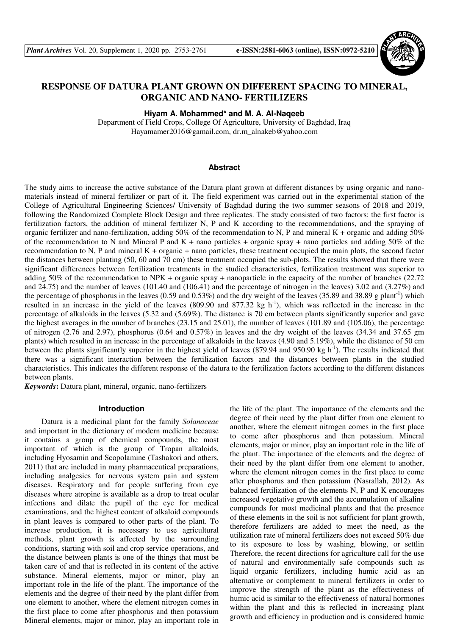

# **RESPONSE OF DATURA PLANT GROWN ON DIFFERENT SPACING TO MINERAL, ORGANIC AND NANO- FERTILIZERS**

**Hiyam A. Mohammed\* and M. A. Al-Naqeeb**

Department of Field Crops, College Of Agriculture, University of Baghdad, Iraq Hayamamer2016@gamail.com, dr.m\_alnakeb@yahoo.com

## **Abstract**

The study aims to increase the active substance of the Datura plant grown at different distances by using organic and nanomaterials instead of mineral fertilizer or part of it. The field experiment was carried out in the experimental station of the College of Agricultural Engineering Sciences/ University of Baghdad during the two summer seasons of 2018 and 2019, following the Randomized Complete Block Design and three replicates. The study consisted of two factors: the first factor is fertilization factors, the addition of mineral fertilizer N, P and K according to the recommendations, and the spraying of organic fertilizer and nano-fertilization, adding 50% of the recommendation to N, P and mineral  $K +$  organic and adding 50% of the recommendation to N and Mineral P and K + nano particles + organic spray + nano particles and adding 50% of the recommendation to N, P and mineral  $K + \text{organic} + \text{ nano particles}$ , these treatment occupied the main plots, the second factor the distances between planting (50, 60 and 70 cm) these treatment occupied the sub-plots. The results showed that there were significant differences between fertilization treatments in the studied characteristics, fertilization treatment was superior to adding 50% of the recommendation to NPK + organic spray + nanoparticle in the capacity of the number of branches (22.72 and 24.75) and the number of leaves (101.40 and (106.41) and the percentage of nitrogen in the leaves) 3.02 and (3.27%) and the percentage of phosphorus in the leaves (0.59 and 0.53%) and the dry weight of the leaves (35.89 and 38.89 g plant<sup>-1</sup>) which resulted in an increase in the yield of the leaves  $(809.90$  and  $877.32$  kg h<sup>-1</sup>), which was reflected in the increase in the percentage of alkaloids in the leaves (5.32 and (5.69%). The distance is 70 cm between plants significantly superior and gave the highest averages in the number of branches (23.15 and 25.01), the number of leaves (101.89 and (105.06), the percentage of nitrogen (2.76 and 2.97), phosphorus (0.64 and 0.57%) in leaves and the dry weight of the leaves (34.34 and 37.65 gm plants) which resulted in an increase in the percentage of alkaloids in the leaves (4.90 and 5.19%), while the distance of 50 cm between the plants significantly superior in the highest yield of leaves  $(879.94$  and  $950.90$  kg h<sup>-1</sup>). The results indicated that there was a significant interaction between the fertilization factors and the distances between plants in the studied characteristics. This indicates the different response of the datura to the fertilization factors according to the different distances between plants.

*Keywords***:** Datura plant, mineral, organic, nano-fertilizers

## **Introduction**

Datura is a medicinal plant for the family *Solanaceae* and important in the dictionary of modern medicine because it contains a group of chemical compounds, the most important of which is the group of Tropan alkaloids, including Hyosamin and Scopolamine (Tashakori and others, 2011) that are included in many pharmaceutical preparations, including analgesics for nervous system pain and system diseases. Respiratory and for people suffering from eye diseases where atropine is available as a drop to treat ocular infections and dilate the pupil of the eye for medical examinations, and the highest content of alkaloid compounds in plant leaves is compared to other parts of the plant. To increase production, it is necessary to use agricultural methods, plant growth is affected by the surrounding conditions, starting with soil and crop service operations, and the distance between plants is one of the things that must be taken care of and that is reflected in its content of the active substance. Mineral elements, major or minor, play an important role in the life of the plant. The importance of the elements and the degree of their need by the plant differ from one element to another, where the element nitrogen comes in the first place to come after phosphorus and then potassium Mineral elements, major or minor, play an important role in

the life of the plant. The importance of the elements and the degree of their need by the plant differ from one element to another, where the element nitrogen comes in the first place to come after phosphorus and then potassium. Mineral elements, major or minor, play an important role in the life of the plant. The importance of the elements and the degree of their need by the plant differ from one element to another, where the element nitrogen comes in the first place to come after phosphorus and then potassium (Nasrallah, 2012). As balanced fertilization of the elements N, P and K encourages increased vegetative growth and the accumulation of alkaline compounds for most medicinal plants and that the presence of these elements in the soil is not sufficient for plant growth, therefore fertilizers are added to meet the need, as the utilization rate of mineral fertilizers does not exceed 50% due to its exposure to loss by washing, blowing, or settlin Therefore, the recent directions for agriculture call for the use of natural and environmentally safe compounds such as liquid organic fertilizers, including humic acid as an alternative or complement to mineral fertilizers in order to improve the strength of the plant as the effectiveness of humic acid is similar to the effectiveness of natural hormones within the plant and this is reflected in increasing plant growth and efficiency in production and is considered humic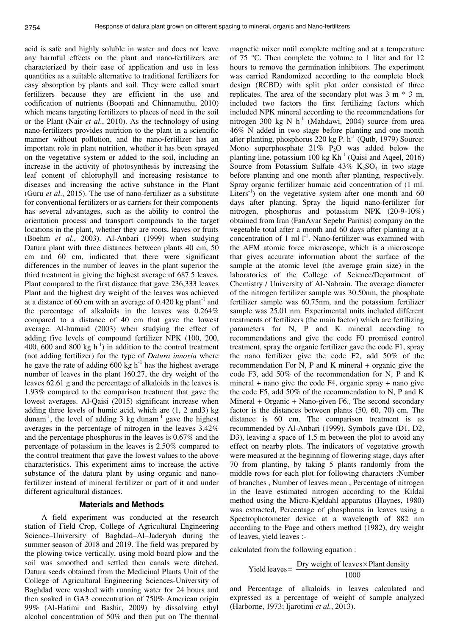acid is safe and highly soluble in water and does not leave any harmful effects on the plant and nano-fertilizers are characterized by their ease of application and use in less quantities as a suitable alternative to traditional fertilizers for easy absorption by plants and soil. They were called smart fertilizers because they are efficient in the use and codification of nutrients (Boopati and Chinnamuthu, 2010) which means targeting fertilizers to places of need in the soil or the Plant (Nair *et al*., 2010). As the technology of using nano-fertilizers provides nutrition to the plant in a scientific manner without pollution, and the nano-fertilizer has an important role in plant nutrition, whether it has been sprayed on the vegetative system or added to the soil, including an increase in the activity of photosynthesis by increasing the leaf content of chlorophyll and increasing resistance to diseases and increasing the active substance in the Plant (Guru *et al*., 2015). The use of nano-fertilizer as a substitute for conventional fertilizers or as carriers for their components has several advantages, such as the ability to control the orientation process and transport compounds to the target locations in the plant, whether they are roots, leaves or fruits (Boehm *et al*., 2003). Al-Anbari (1999) when studying Datura plant with three distances between plants 40 cm, 50 cm and 60 cm, indicated that there were significant differences in the number of leaves in the plant superior the third treatment in giving the highest average of 687.5 leaves. Plant compared to the first distance that gave 236,333 leaves Plant and the highest dry weight of the leaves was achieved at a distance of 60 cm with an average of  $0.420 \text{ kg plant}^{-1}$  and the percentage of alkaloids in the leaves was 0.264% compared to a distance of 40 cm that gave the lowest average. Al-humaid (2003) when studying the effect of adding five levels of compound fertilizer NPK (100, 200, 400, 600 and 800 kg  $h^{-1}$ ) in addition to the control treatment (not adding fertilizer) for the type of *Datura innoxia* where he gave the rate of adding  $600 \text{ kg h}^{-1}$  has the highest average number of leaves in the plant 160.27, the dry weight of the leaves 62.61 g and the percentage of alkaloids in the leaves is 1.93% compared to the comparison treatment that gave the lowest averages. Al-Qaisi (2015) significant increase when adding three levels of humic acid, which are (1, 2 and3) kg dunam<sup>-1</sup>, the level of adding 3 kg dunam<sup>-1</sup> gave the highest averages in the percentage of nitrogen in the leaves 3.42% and the percentage phosphorus in the leaves is 0.67% and the percentage of potassium in the leaves is 2.50% compared to the control treatment that gave the lowest values to the above characteristics. This experiment aims to increase the active substance of the datura plant by using organic and nanofertilizer instead of mineral fertilizer or part of it and under different agricultural distances.

#### **Materials and Methods**

A field experiment was conducted at the research station of Field Crop, College of Agricultural Engineering Science–University of Baghdad–Al–Jaderyah during the summer season of 2018 and 2019. The field was prepared by the plowing twice vertically, using mold board plow and the soil was smoothed and settled then canals were ditched, Datura seeds obtained from the Medicinal Plants Unit of the College of Agricultural Engineering Sciences-University of Baghdad were washed with running water for 24 hours and then soaked in GA3 concentration of 750% American origin 99% (Al-Hatimi and Bashir, 2009) by dissolving ethyl alcohol concentration of 50% and then put on The thermal

magnetic mixer until complete melting and at a temperature of 75 °C. Then complete the volume to 1 liter and for 12 hours to remove the germination inhibitors. The experiment was carried Randomized according to the complete block design (RCBD) with split plot order consisted of three replicates. The area of the secondary plot was  $3 \text{ m} * 3 \text{ m}$ , included two factors the first fertilizing factors which included NPK mineral according to the recommendations for nitrogen 300 kg N  $h^{-1}$  (Mahdawi, 2004) source from urea 46% N added in two stage before planting and one month after planting, phosphorus  $220 \text{ kg } P$ . h<sup>-1</sup> (Qutb, 1979) Source: Mono superphosphate  $21\%$  P<sub>2</sub>O was added below the planting line, potassium 100 kg  $Kh^{-1}$  (Qaisi and Aqeel, 2016) Source from Potassium Sulfate  $43\%$  K<sub>2</sub>SO<sub>4</sub> in two stage before planting and one month after planting, respectively. Spray organic fertilizer humaic acid concentration of (1 ml. Liters<sup>-1</sup>) on the vegetative system after one month and  $60$ days after planting. Spray the liquid nano-fertilizer for nitrogen, phosphorus and potassium NPK (20-9-10%) obtained from Iran (FanAvar Sepehr Parmis) company on the vegetable total after a month and 60 days after planting at a concentration of 1 ml  $1<sup>-1</sup>$ . Nano-fertilizer was examined with the AFM atomic force microscope, which is a microscope that gives accurate information about the surface of the sample at the atomic level (the average grain size) in the laboratories of the College of Science/Department of Chemistry / University of Al-Nahrain. The average diameter of the nitrogen fertilizer sample was 30.50nm, the phosphate fertilizer sample was 60.75nm, and the potassium fertilizer sample was 25.01 nm. Experimental units included different treatments of fertilizers (the main factor) which are fertilizing parameters for N, P and K mineral according to recommendations and give the code F0 promised control treatment, spray the organic fertilizer gave the code F1, spray the nano fertilizer give the code F2, add 50% of the recommendation For N, P and K mineral + organic give the code F3, add 50% of the recommendation for N, P and K mineral  $+$  nano give the code F4, organic spray  $+$  nano give the code F5, add 50% of the recommendation to N, P and K Mineral + Organic + Nano-given F6., The second secondary factor is the distances between plants (50, 60, 70) cm. The distance is 60 cm. The comparison treatment is as recommended by Al-Anbari (1999). Symbols gave (D1, D2, D3), leaving a space of 1.5 m between the plot to avoid any effect on nearby plots. The indicators of vegetative growth were measured at the beginning of flowering stage, days after 70 from planting, by taking 5 plants randomly from the middle rows for each plot for following characters :Number of branches , Number of leaves mean , Percentage of nitrogen in the leave estimated nitrogen according to the Kildal method using the Micro-Kjeldahl apparatus (Haynes, 1980) was extracted, Percentage of phosphorus in leaves using a Spectrophotometer device at a wavelength of 882 nm according to the Page and others method (1982), dry weight of leaves, yield leaves :-

calculated from the following equation :

$$
Yield leaves = \frac{Dry weight of leaves \times Plant density}{1000}
$$

and Percentage of alkaloids in leaves calculated and expressed as a percentage of weight of sample analyzed (Harborne, 1973; Ijarotimi *et al.*, 2013).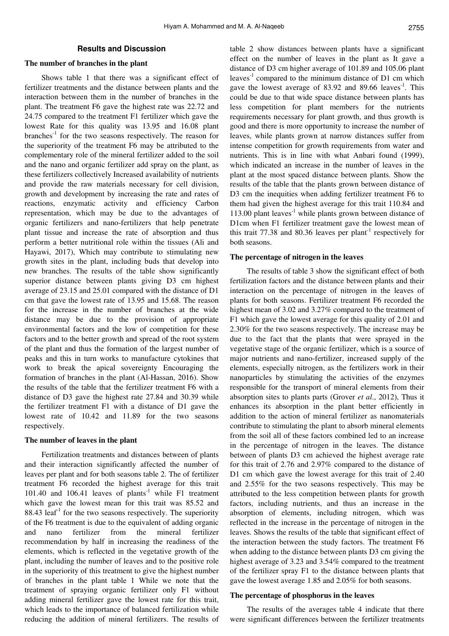# **Results and Discussion**

# **The number of branches in the plant**

Shows table 1 that there was a significant effect of fertilizer treatments and the distance between plants and the interaction between them in the number of branches in the plant. The treatment F6 gave the highest rate was 22.72 and 24.75 compared to the treatment F1 fertilizer which gave the lowest Rate for this quality was 13.95 and 16.08 plant  $branches<sup>-1</sup>$  for the two seasons respectively. The reason for the superiority of the treatment F6 may be attributed to the complementary role of the mineral fertilizer added to the soil and the nano and organic fertilizer add spray on the plant, as these fertilizers collectively Increased availability of nutrients and provide the raw materials necessary for cell division, growth and development by increasing the rate and rates of reactions, enzymatic activity and efficiency Carbon representation, which may be due to the advantages of organic fertilizers and nano-fertilizers that help penetrate plant tissue and increase the rate of absorption and thus perform a better nutritional role within the tissues (Ali and Hayawi, 2017), Which may contribute to stimulating new growth sites in the plant, including buds that develop into new branches. The results of the table show significantly superior distance between plants giving D3 cm highest average of 23.15 and 25.01 compared with the distance of D1 cm that gave the lowest rate of 13.95 and 15.68. The reason for the increase in the number of branches at the wide distance may be due to the provision of appropriate environmental factors and the low of competition for these factors and to the better growth and spread of the root system of the plant and thus the formation of the largest number of peaks and this in turn works to manufacture cytokines that work to break the apical sovereignty Encouraging the formation of branches in the plant (Al-Hassan, 2016). Show the results of the table that the fertilizer treatment F6 with a distance of D3 gave the highest rate 27.84 and 30.39 while the fertilizer treatment F1 with a distance of D1 gave the lowest rate of 10.42 and 11.89 for the two seasons respectively.

#### **The number of leaves in the plant**

Fertilization treatments and distances between of plants and their interaction significantly affected the number of leaves per plant and for both seasons table 2. The of fertilizer treatment F6 recorded the highest average for this trait 101.40 and 106.41 leaves of plants<sup>-1</sup> while F1 treatment which gave the lowest mean for this trait was 85.52 and 88.43 leaf<sup>-1</sup> for the two seasons respectively. The superiority of the F6 treatment is due to the equivalent of adding organic and nano fertilizer from the mineral fertilizer recommendation by half in increasing the readiness of the elements, which is reflected in the vegetative growth of the plant, including the number of leaves and to the positive role in the superiority of this treatment to give the highest number of branches in the plant table 1 While we note that the treatment of spraying organic fertilizer only F1 without adding mineral fertilizer gave the lowest rate for this trait, which leads to the importance of balanced fertilization while reducing the addition of mineral fertilizers. The results of table 2 show distances between plants have a significant effect on the number of leaves in the plant as It gave a distance of D3 cm higher average of 101.89 and 105.06 plant leaves $^{-1}$  compared to the minimum distance of D1 cm which gave the lowest average of 83.92 and 89.66 leaves<sup>-1</sup>. This could be due to that wide space distance between plants has less competition for plant members for the nutrients requirements necessary for plant growth, and thus growth is good and there is more opportunity to increase the number of leaves, while plants grown at narrow distances suffer from intense competition for growth requirements from water and nutrients. This is in line with what Anbari found (1999), which indicated an increase in the number of leaves in the plant at the most spaced distance between plants. Show the results of the table that the plants grown between distance of D3 cm the inequities when adding fertilizer treatment F6 to them had given the highest average for this trait 110.84 and 113.00 plant leaves $^{-1}$  while plants grown between distance of D1cm when F1 fertilizer treatment gave the lowest mean of this trait 77.38 and 80.36 leaves per plant<sup>-1</sup> respectively for both seasons.

### **The percentage of nitrogen in the leaves**

The results of table 3 show the significant effect of both fertilization factors and the distance between plants and their interaction on the percentage of nitrogen in the leaves of plants for both seasons. Fertilizer treatment F6 recorded the highest mean of 3.02 and 3.27% compared to the treatment of F1 which gave the lowest average for this quality of 2.01 and 2.30% for the two seasons respectively. The increase may be due to the fact that the plants that were sprayed in the vegetative stage of the organic fertilizer, which is a source of major nutrients and nano-fertilizer, increased supply of the elements, especially nitrogen, as the fertilizers work in their nanoparticles by stimulating the activities of the enzymes responsible for the transport of mineral elements from their absorption sites to plants parts (Grover *et al*., 2012), Thus it enhances its absorption in the plant better efficiently in addition to the action of mineral fertilizer as nanomaterials contribute to stimulating the plant to absorb mineral elements from the soil all of these factors combined led to an increase in the percentage of nitrogen in the leaves. The distance between of plants D3 cm achieved the highest average rate for this trait of 2.76 and 2.97% compared to the distance of D1 cm which gave the lowest average for this trait of 2.40 and 2.55% for the two seasons respectively. This may be attributed to the less competition between plants for growth factors, including nutrients, and thus an increase in the absorption of elements, including nitrogen, which was reflected in the increase in the percentage of nitrogen in the leaves. Shows the results of the table that significant effect of the interaction between the study factors. The treatment F6 when adding to the distance between plants D3 cm giving the highest average of 3.23 and 3.54% compared to the treatment of the fertilizer spray F1 to the distance between plants that gave the lowest average 1.85 and 2.05% for both seasons.

## **The percentage of phosphorus in the leaves**

The results of the averages table 4 indicate that there were significant differences between the fertilizer treatments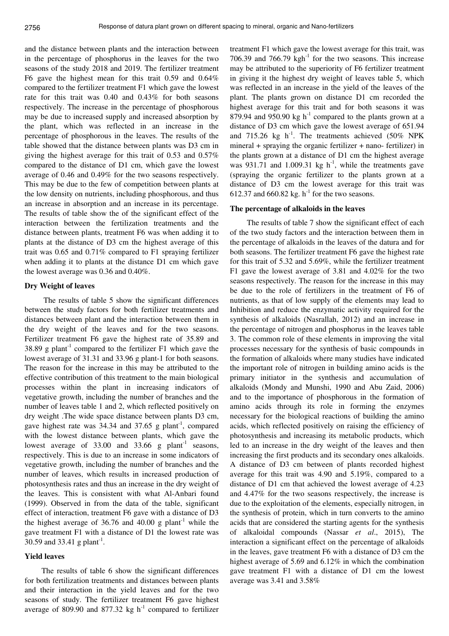and the distance between plants and the interaction between in the percentage of phosphorus in the leaves for the two seasons of the study 2018 and 2019. The fertilizer treatment F6 gave the highest mean for this trait 0.59 and 0.64% compared to the fertilizer treatment F1 which gave the lowest rate for this trait was 0.40 and 0.43% for both seasons respectively. The increase in the percentage of phosphorous may be due to increased supply and increased absorption by the plant, which was reflected in an increase in the percentage of phosphorous in the leaves. The results of the table showed that the distance between plants was D3 cm in giving the highest average for this trait of 0.53 and 0.57% compared to the distance of D1 cm, which gave the lowest average of 0.46 and 0.49% for the two seasons respectively. This may be due to the few of competition between plants at the low density on nutrients, including phosphorous, and thus an increase in absorption and an increase in its percentage. The results of table show the of the significant effect of the interaction between the fertilization treatments and the distance between plants, treatment F6 was when adding it to plants at the distance of D3 cm the highest average of this trait was 0.65 and 0.71% compared to F1 spraying fertilizer when adding it to plants at the distance D1 cm which gave the lowest average was 0.36 and 0.40%.

# **Dry Weight of leaves**

 The results of table 5 show the significant differences between the study factors for both fertilizer treatments and distances between plant and the interaction between them in the dry weight of the leaves and for the two seasons. Fertilizer treatment F6 gave the highest rate of 35.89 and 38.89 g plant<sup>-1</sup> compared to the fertilizer  $F1$  which gave the lowest average of 31.31 and 33.96 g plant-1 for both seasons. The reason for the increase in this may be attributed to the effective contribution of this treatment to the main biological processes within the plant in increasing indicators of vegetative growth, including the number of branches and the number of leaves table 1 and 2, which reflected positively on dry weight .The wide space distance between plants D3 cm, gave highest rate was  $34.34$  and  $37.65$  g plant<sup>-1</sup>, compared with the lowest distance between plants, which gave the lowest average of  $33.00$  and  $33.66$  g plant<sup>-1</sup> seasons, respectively. This is due to an increase in some indicators of vegetative growth, including the number of branches and the number of leaves, which results in increased production of photosynthesis rates and thus an increase in the dry weight of the leaves. This is consistent with what Al-Anbari found (1999). Observed in from the data of the table, significant effect of interaction, treatment F6 gave with a distance of D3 the highest average of 36.76 and 40.00 g plant<sup>-1</sup> while the gave treatment F1 with a distance of D1 the lowest rate was 30.59 and 33.41 g plant<sup>-1</sup>.

#### **Yield leaves**

The results of table 6 show the significant differences for both fertilization treatments and distances between plants and their interaction in the yield leaves and for the two seasons of study. The fertilizer treatment F6 gave highest average of 809.90 and 877.32 kg  $h^{-1}$  compared to fertilizer

treatment F1 which gave the lowest average for this trait, was 706.39 and  $766.79$  kgh<sup>-1</sup> for the two seasons. This increase may be attributed to the superiority of F6 fertilizer treatment in giving it the highest dry weight of leaves table 5, which was reflected in an increase in the yield of the leaves of the plant. The plants grown on distance D1 cm recorded the highest average for this trait and for both seasons it was 879.94 and 950.90 kg  $h^{-1}$  compared to the plants grown at a distance of D3 cm which gave the lowest average of 651.94 and 715.26 kg h<sup>-1</sup>. The treatments achieved (50% NPK mineral + spraying the organic fertilizer + nano- fertilizer) in the plants grown at a distance of D1 cm the highest average was  $931.71$  and  $1.009.31$  kg h<sup>-1</sup>, while the treatments gave (spraying the organic fertilizer to the plants grown at a distance of D3 cm the lowest average for this trait was 612.37 and 660.82 kg.  $h^{-1}$  for the two seasons.

#### **The percentage of alkaloids in the leaves**

The results of table 7 show the significant effect of each of the two study factors and the interaction between them in the percentage of alkaloids in the leaves of the datura and for both seasons. The fertilizer treatment F6 gave the highest rate for this trait of 5.32 and 5.69%, while the fertilizer treatment F1 gave the lowest average of 3.81 and 4.02% for the two seasons respectively. The reason for the increase in this may be due to the role of fertilizers in the treatment of F6 of nutrients, as that of low supply of the elements may lead to Inhibition and reduce the enzymatic activity required for the synthesis of alkaloids (Nasrallah, 2012) and an increase in the percentage of nitrogen and phosphorus in the leaves table 3. The common role of these elements in improving the vital processes necessary for the synthesis of basic compounds in the formation of alkaloids where many studies have indicated the important role of nitrogen in building amino acids is the primary initiator in the synthesis and accumulation of alkaloids (Mondy and Munshi, 1990 and Abu Zaid, 2006) and to the importance of phosphorous in the formation of amino acids through its role in forming the enzymes necessary for the biological reactions of building the amino acids, which reflected positively on raising the efficiency of photosynthesis and increasing its metabolic products, which led to an increase in the dry weight of the leaves and then increasing the first products and its secondary ones alkaloids. A distance of D3 cm between of plants recorded highest average for this trait was 4.90 and 5.19%, compared to a distance of D1 cm that achieved the lowest average of 4.23 and 4.47% for the two seasons respectively, the increase is due to the exploitation of the elements, especially nitrogen, in the synthesis of protein, which in turn converts to the amino acids that are considered the starting agents for the synthesis of alkaloidal compounds (Nassar *et al*., 2015), The interaction a significant effect on the percentage of alkaloids in the leaves, gave treatment F6 with a distance of D3 cm the highest average of 5.69 and 6.12% in which the combination gave treatment F1 with a distance of D1 cm the lowest average was 3.41 and 3.58%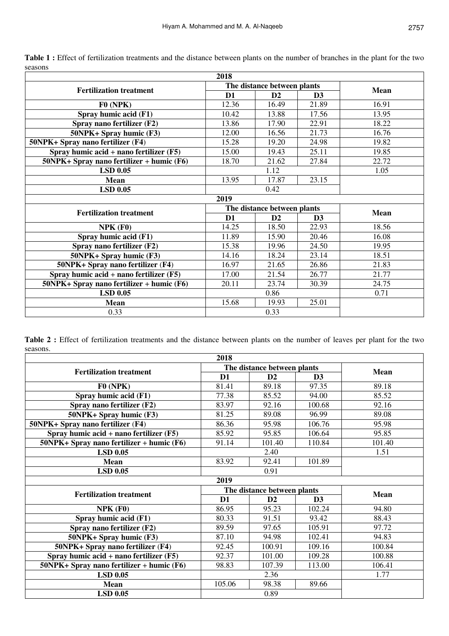|                                              | 2018           |                             |                |             |
|----------------------------------------------|----------------|-----------------------------|----------------|-------------|
| <b>Fertilization treatment</b>               |                | The distance between plants | <b>Mean</b>    |             |
|                                              | D <sub>1</sub> | D2                          | D <sub>3</sub> |             |
| F0(NPK)                                      | 12.36          | 16.49                       | 21.89          | 16.91       |
| Spray humic acid (F1)                        | 10.42          | 13.88                       | 17.56          | 13.95       |
| Spray nano fertilizer (F2)                   | 13.86          | 17.90                       | 22.91          | 18.22       |
| 50NPK+ Spray humic (F3)                      | 12.00          | 16.56                       | 21.73          | 16.76       |
| 50NPK+ Spray nano fertilizer (F4)            | 15.28          | 19.20                       | 24.98          | 19.82       |
| Spray humic $acid + nano$ fertilizer $(F5)$  | 15.00          | 19.43                       | 25.11          | 19.85       |
| $50$ NPK+ Spray nano fertilizer + humic (F6) | 18.70          | 21.62                       | 27.84          | 22.72       |
| <b>LSD 0.05</b>                              | 1.12           |                             |                | 1.05        |
| <b>Mean</b>                                  | 13.95          | 17.87                       | 23.15          |             |
| <b>LSD 0.05</b>                              |                | 0.42                        |                |             |
|                                              | 2019           |                             |                |             |
|                                              |                |                             |                |             |
|                                              |                | The distance between plants |                |             |
| <b>Fertilization treatment</b>               | D <sub>1</sub> | D2                          | D3             | <b>Mean</b> |
| $NPK$ (F0)                                   | 14.25          | 18.50                       | 22.93          | 18.56       |
| Spray humic acid (F1)                        | 11.89          | 15.90                       | 20.46          | 16.08       |
| Spray nano fertilizer (F2)                   | 15.38          | 19.96                       | 24.50          | 19.95       |
| 50NPK+ Spray humic (F3)                      | 14.16          | 18.24                       | 23.14          | 18.51       |
| 50NPK+ Spray nano fertilizer (F4)            | 16.97          | 21.65                       | 26.86          | 21.83       |
| Spray humic $acid + nano$ fertilizer $(F5)$  | 17.00          | 21.54                       | 26.77          | 21.77       |
| $50$ NPK+ Spray nano fertilizer + humic (F6) | 20.11          | 23.74                       | 30.39          | 24.75       |
| <b>LSD 0.05</b>                              |                | 0.86                        |                | 0.71        |
| <b>Mean</b>                                  | 15.68          | 19.93                       | 25.01          |             |

Table 1 : Effect of fertilization treatments and the distance between plants on the number of branches in the plant for the two seasons

|          | Table 2 : Effect of fertilization treatments and the distance between plants on the number of leaves per plant for the two |  |  |  |  |  |  |  |
|----------|----------------------------------------------------------------------------------------------------------------------------|--|--|--|--|--|--|--|
| seasons. |                                                                                                                            |  |  |  |  |  |  |  |

| 2018                                         |                |                             |                |        |  |  |  |
|----------------------------------------------|----------------|-----------------------------|----------------|--------|--|--|--|
| <b>Fertilization treatment</b>               |                | The distance between plants | <b>Mean</b>    |        |  |  |  |
|                                              | $\mathbf{D1}$  | D2                          | D3             |        |  |  |  |
| $F0$ (NPK)                                   | 81.41          | 89.18                       | 97.35          | 89.18  |  |  |  |
| Spray humic acid (F1)                        | 77.38          | 85.52                       | 94.00          | 85.52  |  |  |  |
| Spray nano fertilizer (F2)                   | 83.97          | 92.16                       | 100.68         | 92.16  |  |  |  |
| 50NPK+ Spray humic (F3)                      | 81.25          | 89.08                       | 96.99          | 89.08  |  |  |  |
| 50NPK+ Spray nano fertilizer (F4)            | 86.36          | 95.98                       | 106.76         | 95.98  |  |  |  |
| Spray humic $acid + nano$ fertilizer $(F5)$  | 85.92          | 95.85                       | 106.64         | 95.85  |  |  |  |
| $50NPK +$ Spray nano fertilizer + humic (F6) | 91.14          | 101.40                      | 110.84         | 101.40 |  |  |  |
| <b>LSD 0.05</b>                              |                | 2.40                        | 1.51           |        |  |  |  |
| <b>Mean</b>                                  | 83.92          | 92.41                       | 101.89         |        |  |  |  |
| <b>LSD 0.05</b>                              |                | 0.91                        |                |        |  |  |  |
|                                              | 2019           |                             |                |        |  |  |  |
| <b>Fertilization treatment</b>               |                | The distance between plants | <b>Mean</b>    |        |  |  |  |
|                                              | D <sub>1</sub> | D <sub>2</sub>              | D <sub>3</sub> |        |  |  |  |
| $NPK$ (F0)                                   | 86.95          | 95.23                       | 102.24         | 94.80  |  |  |  |
| Spray humic acid (F1)                        | 80.33          | 91.51                       | 93.42          | 88.43  |  |  |  |
| Spray nano fertilizer (F2)                   | 89.59          | 97.65                       | 105.91         | 97.72  |  |  |  |
| 50NPK+ Spray humic (F3)                      | 87.10          | 94.98                       | 102.41         | 94.83  |  |  |  |
|                                              |                |                             |                |        |  |  |  |
| 50NPK+ Spray nano fertilizer (F4)            | 92.45          | 100.91                      | 109.16         | 100.84 |  |  |  |
| Spray humic $acid + nano$ fertilizer $(F5)$  | 92.37          | 101.00                      | 109.28         | 100.88 |  |  |  |
| $50NPK +$ Spray nano fertilizer + humic (F6) | 98.83          | 107.39                      | 113.00         | 106.41 |  |  |  |
| <b>LSD 0.05</b>                              |                | 2.36                        |                | 1.77   |  |  |  |
| <b>Mean</b>                                  | 105.06         | 98.38                       | 89.66          |        |  |  |  |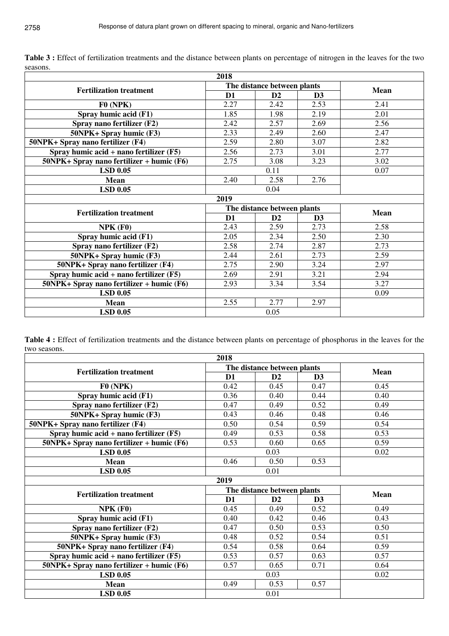|                                              | 2018           |                             |             |      |
|----------------------------------------------|----------------|-----------------------------|-------------|------|
| <b>Fertilization treatment</b>               |                | The distance between plants | <b>Mean</b> |      |
|                                              | D <sub>1</sub> | D2                          | D3          |      |
| F0(NPK)                                      | 2.27           | 2.42                        | 2.53        | 2.41 |
| Spray humic acid (F1)                        | 1.85           | 1.98                        | 2.19        | 2.01 |
| Spray nano fertilizer (F2)                   | 2.42           | 2.57                        | 2.69        | 2.56 |
| 50NPK+ Spray humic (F3)                      | 2.33           | 2.49                        | 2.60        | 2.47 |
| 50NPK+ Spray nano fertilizer (F4)            | 2.59           | 2.80                        | 3.07        | 2.82 |
| Spray humic $acid + nano$ fertilizer $(F5)$  | 2.56           | 2.73                        | 3.01        | 2.77 |
| $50NPK +$ Spray nano fertilizer + humic (F6) | 2.75           | 3.08                        | 3.23        | 3.02 |
| <b>LSD 0.05</b>                              |                | 0.11                        | 0.07        |      |
| <b>Mean</b>                                  | 2.40           | 2.58                        | 2.76        |      |
| <b>LSD 0.05</b>                              |                | 0.04                        |             |      |
|                                              | 2019           |                             |             |      |
| <b>Fertilization treatment</b>               |                | The distance between plants | <b>Mean</b> |      |
|                                              | D <sub>1</sub> | D2                          | D3          |      |
| $NPK$ (F0)                                   | 2.43           | 2.59                        | 2.73        | 2.58 |
| Spray humic acid (F1)                        | 2.05           | 2.34                        | 2.50        | 2.30 |
| Spray nano fertilizer (F2)                   | 2.58           | 2.74                        | 2.87        | 2.73 |
| 50NPK+ Spray humic (F3)                      | 2.44           | 2.61                        | 2.73        | 2.59 |
| 50NPK+ Spray nano fertilizer (F4)            | 2.75           | 2.90                        | 3.24        | 2.97 |
| Spray humic $acid + nano$ fertilizer $(F5)$  | 2.69           | 2.91                        | 3.21        | 2.94 |
| $50NPK +$ Spray nano fertilizer + humic (F6) | 2.93           | 3.34                        | 3.54        | 3.27 |
| <b>LSD 0.05</b>                              |                |                             |             | 0.09 |
| <b>Mean</b>                                  | 2.55           | 2.77                        | 2.97        |      |
|                                              |                |                             |             |      |

**Table 3 :** Effect of fertilization treatments and the distance between plants on percentage of nitrogen in the leaves for the two seasons.

**Table 4 :** Effect of fertilization treatments and the distance between plants on percentage of phosphorus in the leaves for the two seasons.

|                                              | 2018                        |                             |             |      |
|----------------------------------------------|-----------------------------|-----------------------------|-------------|------|
| <b>Fertilization treatment</b>               |                             | The distance between plants | <b>Mean</b> |      |
|                                              | D <sub>1</sub>              | D2                          | D3          |      |
| F0(NPK)                                      | 0.42                        | 0.45                        | 0.47        | 0.45 |
| Spray humic acid (F1)                        | 0.36                        | 0.40                        | 0.44        | 0.40 |
| Spray nano fertilizer (F2)                   | 0.47                        | 0.49                        | 0.52        | 0.49 |
| 50NPK+ Spray humic (F3)                      | 0.43                        | 0.46                        | 0.48        | 0.46 |
| 50NPK+ Spray nano fertilizer (F4)            | 0.50                        | 0.54                        | 0.59        | 0.54 |
| Spray humic acid + nano fertilizer $(F5)$    | 0.49                        | 0.53                        | 0.58        | 0.53 |
| $50NPK+$ Spray nano fertilizer + humic (F6)  | 0.53                        | 0.60                        | 0.65        | 0.59 |
| $LSD$ 0.05                                   |                             | 0.03                        | 0.02        |      |
| <b>Mean</b>                                  | 0.46                        | 0.50                        | 0.53        |      |
| <b>LSD 0.05</b>                              |                             | 0.01                        |             |      |
|                                              | 2019                        |                             |             |      |
| <b>Fertilization treatment</b>               | The distance between plants | <b>Mean</b>                 |             |      |
|                                              | D <sub>1</sub>              | D2                          | D3          |      |
| $NPK$ (F0)                                   | 0.45                        | 0.49                        | 0.52        | 0.49 |
| Spray humic acid (F1)                        | 0.40                        | 0.42                        | 0.46        | 0.43 |
| Spray nano fertilizer (F2)                   | 0.47                        | 0.50                        | 0.53        | 0.50 |
| 50NPK+ Spray humic (F3)                      | 0.48                        | 0.52                        | 0.54        | 0.51 |
| 50NPK+ Spray nano fertilizer (F4)            | 0.54                        | 0.58                        | 0.64        | 0.59 |
| Spray humic $acid + nano$ fertilizer $(F5)$  | 0.53                        | 0.57                        | 0.63        | 0.57 |
| $50NPK +$ Spray nano fertilizer + humic (F6) | 0.57                        | 0.65                        | 0.71        | 0.64 |
| <b>LSD 0.05</b>                              |                             | 0.03                        |             | 0.02 |
| <b>Mean</b>                                  | 0.49                        | 0.53                        | 0.57        |      |
| <b>LSD 0.05</b>                              |                             | 0.01                        |             |      |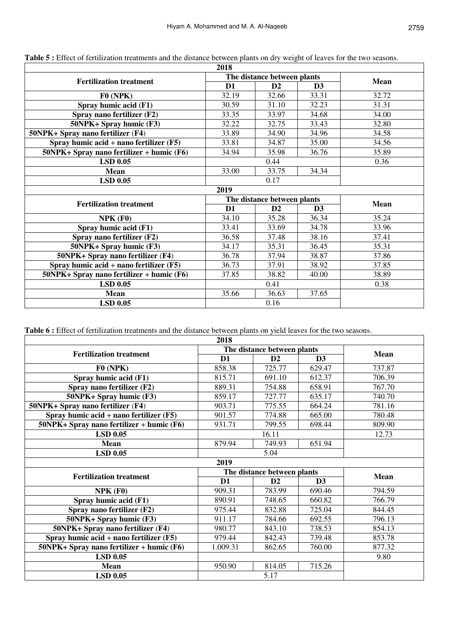| 2018           |             |                |                                                            |
|----------------|-------------|----------------|------------------------------------------------------------|
|                | <b>Mean</b> |                |                                                            |
| D <sub>1</sub> | D2          | D3             |                                                            |
| 32.19          | 32.66       | 33.31          | 32.72                                                      |
| 30.59          | 31.10       | 32.23          | 31.31                                                      |
| 33.35          | 33.97       | 34.68          | 34.00                                                      |
| 32.22          | 32.75       | 33.43          | 32.80                                                      |
| 33.89          | 34.90       | 34.96          | 34.58                                                      |
| 33.81          | 34.87       | 35.00          | 34.56                                                      |
| 34.94          | 35.98       | 36.76          | 35.89                                                      |
|                |             | 0.36           |                                                            |
| 33.00          | 33.75       | 34.34          |                                                            |
|                | 0.17        |                |                                                            |
| 2019           |             |                |                                                            |
|                | <b>Mean</b> |                |                                                            |
| $\mathbf{D}$   | D2          | D <sub>3</sub> |                                                            |
| 34.10          | 35.28       | 36.34          | 35.24                                                      |
| 33.41          | 33.69       | 34.78          | 33.96                                                      |
| 36.58          | 37.48       | 38.16          | 37.41                                                      |
| 34.17          | 35.31       | 36.45          | 35.31                                                      |
| 36.78          | 37.94       | 38.87          | 37.86                                                      |
| 36.73          | 37.91       | 38.92          | 37.85                                                      |
| 37.85          | 38.82       | 40.00          | 38.89                                                      |
|                | 0.41        |                | 0.38                                                       |
| 35.66          | 36.63       | 37.65          |                                                            |
|                |             |                |                                                            |
|                |             | 0.44<br>0.16   | The distance between plants<br>The distance between plants |

**Table 5 :** Effect of fertilization treatments and the distance between plants on dry weight of leaves for the two seasons.

**Table 6 :** Effect of fertilization treatments and the distance between plants on yield leaves for the two seasons.

|                                                 | 2018                        |                |                |        |
|-------------------------------------------------|-----------------------------|----------------|----------------|--------|
| <b>Fertilization treatment</b>                  | The distance between plants | <b>Mean</b>    |                |        |
|                                                 | D1                          | D2             | D3             |        |
| F0(NPK)                                         | 858.38                      | 725.77         | 629.47         | 737.87 |
| Spray humic acid (F1)                           | 815.71                      | 691.10         | 612.37         | 706.39 |
| Spray nano fertilizer (F2)                      | 889.31                      | 754.88         | 658.91         | 767.70 |
| 50NPK+ Spray humic (F3)                         | 859.17                      | 727.77         | 635.17         | 740.70 |
| 50NPK+ Spray nano fertilizer (F4)               | 903.71                      | 775.55         | 664.24         | 781.16 |
| Spray humic $\alpha$ cid + nano fertilizer (F5) | 901.57                      | 774.88         | 665.00         | 780.48 |
| $50NPK + Spray$ nano fertilizer + humic (F6)    | 931.71                      | 799.55         | 698.44         | 809.90 |
| <b>LSD 0.05</b>                                 |                             | 16.11          |                | 12.73  |
| <b>Mean</b>                                     | 879.94                      | 749.93         | 651.94         |        |
| <b>LSD 0.05</b>                                 |                             |                |                |        |
|                                                 | 2019                        |                |                |        |
| <b>Fertilization treatment</b>                  | The distance between plants | <b>Mean</b>    |                |        |
|                                                 | D <sub>1</sub>              | D <sub>2</sub> | D <sub>3</sub> |        |
| $NPK$ (F0)                                      | 909.31                      | 783.99         | 690.46         | 794.59 |
| Spray humic acid (F1)                           | 890.91                      | 748.65         | 660.82         | 766.79 |
| Spray nano fertilizer (F2)                      | 975.44                      | 832.88         | 725.04         | 844.45 |
| 50NPK+ Spray humic (F3)                         | 911.17                      | 784.66         | 692.55         | 796.13 |
| 50NPK+ Spray nano fertilizer (F4)               | 980.77                      | 843.10         | 738.53         | 854.13 |
| Spray humic $\alpha$ cid + nano fertilizer (F5) | 979.44                      | 842.43         | 739.48         | 853.78 |
| 50NPK+ Spray nano fertilizer + humic (F6)       | 1.009.31                    | 862.65         | 760.00         | 877.32 |
| <b>LSD 0.05</b>                                 |                             |                |                | 9.80   |
| <b>Mean</b>                                     | 950.90                      | 814.05         | 715.26         |        |
| <b>LSD 0.05</b>                                 |                             |                |                |        |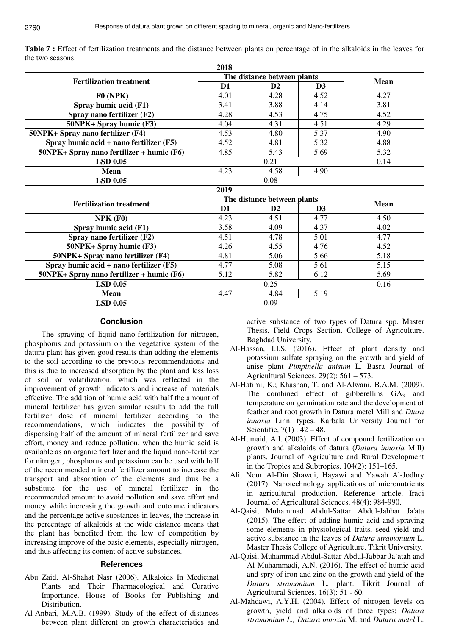|                                              | 2018                        |               |      |      |
|----------------------------------------------|-----------------------------|---------------|------|------|
| <b>Fertilization treatment</b>               | The distance between plants | <b>Mean</b>   |      |      |
|                                              | D <sub>1</sub>              | $\mathbf{D2}$ | D3   |      |
| F0(NPK)                                      | 4.01                        | 4.28          | 4.52 | 4.27 |
| Spray humic acid (F1)                        | 3.41                        | 3.88          | 4.14 | 3.81 |
| Spray nano fertilizer (F2)                   | 4.28                        | 4.53          | 4.75 | 4.52 |
| 50NPK+ Spray humic (F3)                      | 4.04                        | 4.31          | 4.51 | 4.29 |
| 50NPK+ Spray nano fertilizer (F4)            | 4.53                        | 4.80          | 5.37 | 4.90 |
| Spray humic $acid + nano$ fertilizer $(F5)$  | 4.52                        | 4.81          | 5.32 | 4.88 |
| $50NPK +$ Spray nano fertilizer + humic (F6) | 4.85                        | 5.43          | 5.69 | 5.32 |
| <b>LSD 0.05</b>                              |                             | 0.14          |      |      |
| <b>Mean</b>                                  | 4.23                        | 4.58          | 4.90 |      |
| <b>LSD 0.05</b>                              |                             |               |      |      |
|                                              | 2019                        |               |      |      |
| <b>Fertilization treatment</b>               | The distance between plants | <b>Mean</b>   |      |      |
|                                              | D <sub>1</sub>              | D2            | D3   |      |
| NPK(F0)                                      | 4.23                        | 4.51          | 4.77 | 4.50 |
| Spray humic acid (F1)                        | 3.58                        | 4.09          | 4.37 | 4.02 |
| Spray nano fertilizer (F2)                   | 4.51                        | 4.78          | 5.01 | 4.77 |
| 50NPK+ Spray humic (F3)                      | 4.26                        | 4.55          | 4.76 | 4.52 |
| 50NPK+ Spray nano fertilizer (F4)            | 4.81                        | 5.06          | 5.66 | 5.18 |
| Spray humic $acid + nano$ fertilizer $(F5)$  | 4.77                        | 5.08          | 5.61 | 5.15 |
| $50$ NPK+ Spray nano fertilizer + humic (F6) | 5.12                        | 5.82          | 6.12 | 5.69 |
| <b>LSD 0.05</b>                              |                             | 0.25          |      | 0.16 |
|                                              |                             |               |      |      |
| <b>Mean</b>                                  | 4.47                        | 4.84<br>0.09  | 5.19 |      |

**Table 7 :** Effect of fertilization treatments and the distance between plants on percentage of in the alkaloids in the leaves for the two seasons.

## **Conclusion**

The spraying of liquid nano-fertilization for nitrogen, phosphorus and potassium on the vegetative system of the datura plant has given good results than adding the elements to the soil according to the previous recommendations and this is due to increased absorption by the plant and less loss of soil or volatilization, which was reflected in the improvement of growth indicators and increase of materials effective. The addition of humic acid with half the amount of mineral fertilizer has given similar results to add the full fertilizer dose of mineral fertilizer according to the recommendations, which indicates the possibility of dispensing half of the amount of mineral fertilizer and save effort, money and reduce pollution, when the humic acid is available as an organic fertilizer and the liquid nano-fertilizer for nitrogen, phosphorus and potassium can be used with half of the recommended mineral fertilizer amount to increase the transport and absorption of the elements and thus be a substitute for the use of mineral fertilizer in the recommended amount to avoid pollution and save effort and money while increasing the growth and outcome indicators and the percentage active substances in leaves, the increase in the percentage of alkaloids at the wide distance means that the plant has benefited from the low of competition by increasing improve of the basic elements, especially nitrogen, and thus affecting its content of active substances.

### **References**

- Abu Zaid, Al-Shahat Nasr (2006). Alkaloids In Medicinal Plants and Their Pharmacological and Curative Importance. House of Books for Publishing and Distribution.
- Al-Anbari, M.A.B. (1999). Study of the effect of distances between plant different on growth characteristics and

active substance of two types of Datura spp. Master Thesis. Field Crops Section. College of Agriculture. Baghdad University.

- Al-Hassan, I.I.S. (2016). Effect of plant density and potassium sulfate spraying on the growth and yield of anise plant *Pimpinella anisum* L. Basra Journal of Agricultural Sciences, 29(2): 561 – 573.
- Al-Hatimi, K.; Khashan, T. and Al-Alwani, B.A.M. (2009). The combined effect of gibberellins  $GA_3$  and temperature on germination rate and the development of feather and root growth in Datura metel Mill and *Dtura innoxia* Linn. types. Karbala University Journal for Scientific,  $7(1)$ :  $42 - 48$ .
- Al-Humaid, A.I. (2003). Effect of compound fertilization on growth and alkaloids of datura (*Datura innoxia* Mill) plants. Journal of Agriculture and Rural Development in the Tropics and Subtropics. 104(2): 151–165.
- Ali, Nour Al-Din Shawqi, Hayawi and Yawah Al-Jodhry (2017). Nanotechnology applications of micronutrients in agricultural production. Reference article. Iraqi Journal of Agricultural Sciences, 48(4): 984-990.
- Al-Qaisi, Muhammad Abdul-Sattar Abdul-Jabbar Ja'ata (2015). The effect of adding humic acid and spraying some elements in physiological traits, seed yield and active substance in the leaves of *Datura stramonium* L. Master Thesis College of Agriculture. Tikrit University.
- Al-Qaisi, Muhammad Abdul-Sattar Abdul-Jabbar Ja'atah and Al-Muhammadi, A.N. (2016). The effect of humic acid and spry of iron and zinc on the growth and yield of the *Datura stramonium* L. plant. Tikrit Journal of Agricultural Sciences, 16(3): 51 - 60.
- Al-Mahdawi, A.Y.H. (2004). Effect of nitrogen levels on growth, yield and alkaloids of three types: *Datura stramonium L., Datura innoxia* M. and *Datura metel* L.